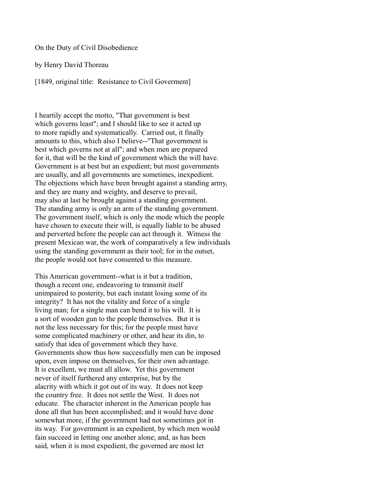On the Duty of Civil Disobedience

by Henry David Thoreau

[1849, original title: Resistance to Civil Goverment]

I heartily accept the motto, "That government is best which governs least"; and I should like to see it acted up to more rapidly and systematically. Carried out, it finally amounts to this, which also I believe--"That government is best which governs not at all"; and when men are prepared for it, that will be the kind of government which the will have. Government is at best but an expedient; but most governments are usually, and all governments are sometimes, inexpedient. The objections which have been brought against a standing army, and they are many and weighty, and deserve to prevail, may also at last be brought against a standing government. The standing army is only an arm of the standing government. The government itself, which is only the mode which the people have chosen to execute their will, is equally liable to be abused and perverted before the people can act through it. Witness the present Mexican war, the work of comparatively a few individuals using the standing government as their tool; for in the outset, the people would not have consented to this measure.

This American government--what is it but a tradition, though a recent one, endeavoring to transmit itself unimpaired to posterity, but each instant losing some of its integrity? It has not the vitality and force of a single living man; for a single man can bend it to his will. It is a sort of wooden gun to the people themselves. But it is not the less necessary for this; for the people must have some complicated machinery or other, and hear its din, to satisfy that idea of government which they have. Governments show thus how successfully men can be imposed upon, even impose on themselves, for their own advantage. It is excellent, we must all allow. Yet this government never of itself furthered any enterprise, but by the alacrity with which it got out of its way. It does not keep the country free. It does not settle the West. It does not educate. The character inherent in the American people has done all that has been accomplished; and it would have done somewhat more, if the government had not sometimes got in its way. For government is an expedient, by which men would fain succeed in letting one another alone; and, as has been said, when it is most expedient, the governed are most let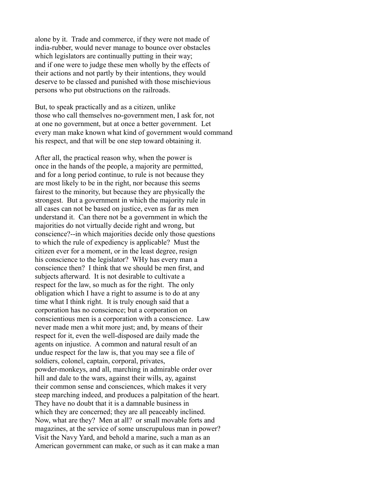alone by it. Trade and commerce, if they were not made of india-rubber, would never manage to bounce over obstacles which legislators are continually putting in their way; and if one were to judge these men wholly by the effects of their actions and not partly by their intentions, they would deserve to be classed and punished with those mischievious persons who put obstructions on the railroads.

But, to speak practically and as a citizen, unlike those who call themselves no-government men, I ask for, not at one no government, but at once a better government. Let every man make known what kind of government would command his respect, and that will be one step toward obtaining it.

After all, the practical reason why, when the power is once in the hands of the people, a majority are permitted, and for a long period continue, to rule is not because they are most likely to be in the right, nor because this seems fairest to the minority, but because they are physically the strongest. But a government in which the majority rule in all cases can not be based on justice, even as far as men understand it. Can there not be a government in which the majorities do not virtually decide right and wrong, but conscience?--in which majorities decide only those questions to which the rule of expediency is applicable? Must the citizen ever for a moment, or in the least degree, resign his conscience to the legislator? WHy has every man a conscience then? I think that we should be men first, and subjects afterward. It is not desirable to cultivate a respect for the law, so much as for the right. The only obligation which I have a right to assume is to do at any time what I think right. It is truly enough said that a corporation has no conscience; but a corporation on conscientious men is a corporation with a conscience. Law never made men a whit more just; and, by means of their respect for it, even the well-disposed are daily made the agents on injustice. A common and natural result of an undue respect for the law is, that you may see a file of soldiers, colonel, captain, corporal, privates, powder-monkeys, and all, marching in admirable order over hill and dale to the wars, against their wills, ay, against their common sense and consciences, which makes it very steep marching indeed, and produces a palpitation of the heart. They have no doubt that it is a damnable business in which they are concerned; they are all peaceably inclined. Now, what are they? Men at all? or small movable forts and magazines, at the service of some unscrupulous man in power? Visit the Navy Yard, and behold a marine, such a man as an American government can make, or such as it can make a man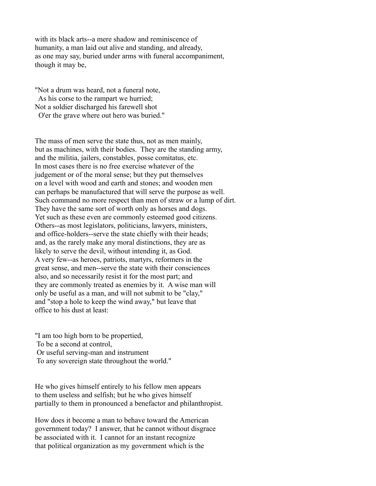with its black arts--a mere shadow and reminiscence of humanity, a man laid out alive and standing, and already, as one may say, buried under arms with funeral accompaniment, though it may be,

"Not a drum was heard, not a funeral note, As his corse to the rampart we hurried; Not a soldier discharged his farewell shot O'er the grave where out hero was buried."

The mass of men serve the state thus, not as men mainly, but as machines, with their bodies. They are the standing army, and the militia, jailers, constables, posse comitatus, etc. In most cases there is no free exercise whatever of the judgement or of the moral sense; but they put themselves on a level with wood and earth and stones; and wooden men can perhaps be manufactured that will serve the purpose as well. Such command no more respect than men of straw or a lump of dirt. They have the same sort of worth only as horses and dogs. Yet such as these even are commonly esteemed good citizens. Others--as most legislators, politicians, lawyers, ministers, and office-holders--serve the state chiefly with their heads; and, as the rarely make any moral distinctions, they are as likely to serve the devil, without intending it, as God. A very few--as heroes, patriots, martyrs, reformers in the great sense, and men--serve the state with their consciences also, and so necessarily resist it for the most part; and they are commonly treated as enemies by it. A wise man will only be useful as a man, and will not submit to be "clay," and "stop a hole to keep the wind away," but leave that office to his dust at least:

"I am too high born to be propertied, To be a second at control, Or useful serving-man and instrument To any sovereign state throughout the world."

He who gives himself entirely to his fellow men appears to them useless and selfish; but he who gives himself partially to them in pronounced a benefactor and philanthropist.

How does it become a man to behave toward the American government today? I answer, that he cannot without disgrace be associated with it. I cannot for an instant recognize that political organization as my government which is the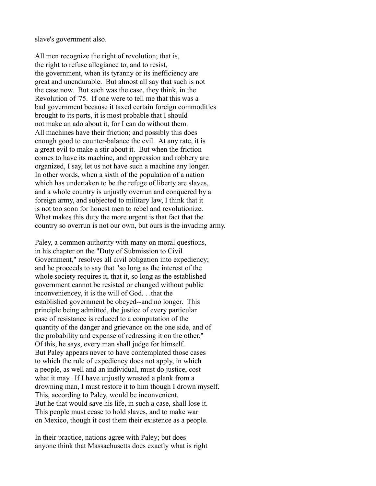slave's government also.

All men recognize the right of revolution; that is, the right to refuse allegiance to, and to resist, the government, when its tyranny or its inefficiency are great and unendurable. But almost all say that such is not the case now. But such was the case, they think, in the Revolution of '75. If one were to tell me that this was a bad government because it taxed certain foreign commodities brought to its ports, it is most probable that I should not make an ado about it, for I can do without them. All machines have their friction; and possibly this does enough good to counter-balance the evil. At any rate, it is a great evil to make a stir about it. But when the friction comes to have its machine, and oppression and robbery are organized, I say, let us not have such a machine any longer. In other words, when a sixth of the population of a nation which has undertaken to be the refuge of liberty are slaves, and a whole country is unjustly overrun and conquered by a foreign army, and subjected to military law, I think that it is not too soon for honest men to rebel and revolutionize. What makes this duty the more urgent is that fact that the country so overrun is not our own, but ours is the invading army.

Paley, a common authority with many on moral questions, in his chapter on the "Duty of Submission to Civil Government," resolves all civil obligation into expediency; and he proceeds to say that "so long as the interest of the whole society requires it, that it, so long as the established government cannot be resisted or changed without public inconveniencey, it is the will of God. . .that the established government be obeyed--and no longer. This principle being admitted, the justice of every particular case of resistance is reduced to a computation of the quantity of the danger and grievance on the one side, and of the probability and expense of redressing it on the other." Of this, he says, every man shall judge for himself. But Paley appears never to have contemplated those cases to which the rule of expediency does not apply, in which a people, as well and an individual, must do justice, cost what it may. If I have unjustly wrested a plank from a drowning man, I must restore it to him though I drown myself. This, according to Paley, would be inconvenient. But he that would save his life, in such a case, shall lose it. This people must cease to hold slaves, and to make war on Mexico, though it cost them their existence as a people.

In their practice, nations agree with Paley; but does anyone think that Massachusetts does exactly what is right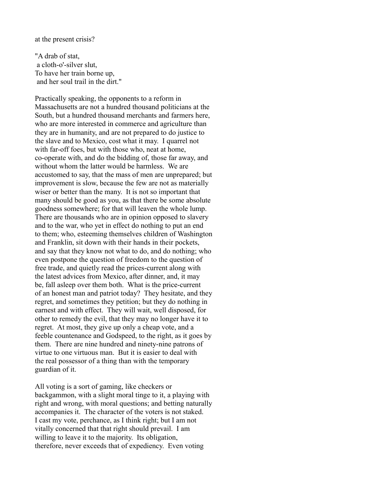at the present crisis?

"A drab of stat, a cloth-o'-silver slut, To have her train borne up, and her soul trail in the dirt."

Practically speaking, the opponents to a reform in Massachusetts are not a hundred thousand politicians at the South, but a hundred thousand merchants and farmers here, who are more interested in commerce and agriculture than they are in humanity, and are not prepared to do justice to the slave and to Mexico, cost what it may. I quarrel not with far-off foes, but with those who, neat at home, co-operate with, and do the bidding of, those far away, and without whom the latter would be harmless. We are accustomed to say, that the mass of men are unprepared; but improvement is slow, because the few are not as materially wiser or better than the many. It is not so important that many should be good as you, as that there be some absolute goodness somewhere; for that will leaven the whole lump. There are thousands who are in opinion opposed to slavery and to the war, who yet in effect do nothing to put an end to them; who, esteeming themselves children of Washington and Franklin, sit down with their hands in their pockets, and say that they know not what to do, and do nothing; who even postpone the question of freedom to the question of free trade, and quietly read the prices-current along with the latest advices from Mexico, after dinner, and, it may be, fall asleep over them both. What is the price-current of an honest man and patriot today? They hesitate, and they regret, and sometimes they petition; but they do nothing in earnest and with effect. They will wait, well disposed, for other to remedy the evil, that they may no longer have it to regret. At most, they give up only a cheap vote, and a feeble countenance and Godspeed, to the right, as it goes by them. There are nine hundred and ninety-nine patrons of virtue to one virtuous man. But it is easier to deal with the real possessor of a thing than with the temporary guardian of it.

All voting is a sort of gaming, like checkers or backgammon, with a slight moral tinge to it, a playing with right and wrong, with moral questions; and betting naturally accompanies it. The character of the voters is not staked. I cast my vote, perchance, as I think right; but I am not vitally concerned that that right should prevail. I am willing to leave it to the majority. Its obligation, therefore, never exceeds that of expediency. Even voting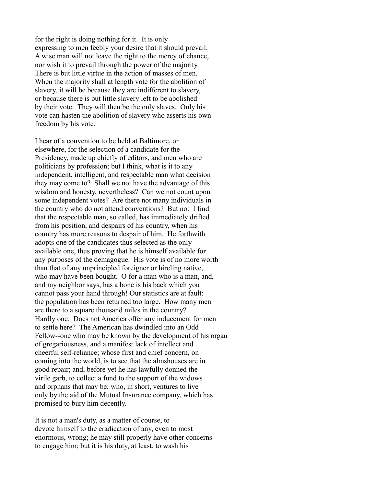for the right is doing nothing for it. It is only expressing to men feebly your desire that it should prevail. A wise man will not leave the right to the mercy of chance, nor wish it to prevail through the power of the majority. There is but little virtue in the action of masses of men. When the majority shall at length vote for the abolition of slavery, it will be because they are indifferent to slavery, or because there is but little slavery left to be abolished by their vote. They will then be the only slaves. Only his vote can hasten the abolition of slavery who asserts his own freedom by his vote.

I hear of a convention to be held at Baltimore, or elsewhere, for the selection of a candidate for the Presidency, made up chiefly of editors, and men who are politicians by profession; but I think, what is it to any independent, intelligent, and respectable man what decision they may come to? Shall we not have the advantage of this wisdom and honesty, nevertheless? Can we not count upon some independent votes? Are there not many individuals in the country who do not attend conventions? But no: I find that the respectable man, so called, has immediately drifted from his position, and despairs of his country, when his country has more reasons to despair of him. He forthwith adopts one of the candidates thus selected as the only available one, thus proving that he is himself available for any purposes of the demagogue. His vote is of no more worth than that of any unprincipled foreigner or hireling native, who may have been bought. O for a man who is a man, and, and my neighbor says, has a bone is his back which you cannot pass your hand through! Our statistics are at fault: the population has been returned too large. How many men are there to a square thousand miles in the country? Hardly one. Does not America offer any inducement for men to settle here? The American has dwindled into an Odd Fellow--one who may be known by the development of his organ of gregariousness, and a manifest lack of intellect and cheerful self-reliance; whose first and chief concern, on coming into the world, is to see that the almshouses are in good repair; and, before yet he has lawfully donned the virile garb, to collect a fund to the support of the widows and orphans that may be; who, in short, ventures to live only by the aid of the Mutual Insurance company, which has promised to bury him decently.

It is not a man's duty, as a matter of course, to devote himself to the eradication of any, even to most enormous, wrong; he may still properly have other concerns to engage him; but it is his duty, at least, to wash his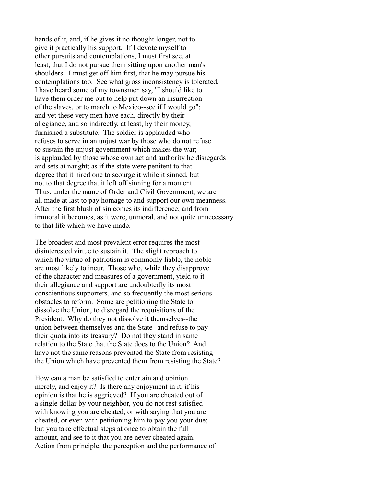hands of it, and, if he gives it no thought longer, not to give it practically his support. If I devote myself to other pursuits and contemplations, I must first see, at least, that I do not pursue them sitting upon another man's shoulders. I must get off him first, that he may pursue his contemplations too. See what gross inconsistency is tolerated. I have heard some of my townsmen say, "I should like to have them order me out to help put down an insurrection of the slaves, or to march to Mexico--see if I would go"; and yet these very men have each, directly by their allegiance, and so indirectly, at least, by their money, furnished a substitute. The soldier is applauded who refuses to serve in an unjust war by those who do not refuse to sustain the unjust government which makes the war; is applauded by those whose own act and authority he disregards and sets at naught; as if the state were penitent to that degree that it hired one to scourge it while it sinned, but not to that degree that it left off sinning for a moment. Thus, under the name of Order and Civil Government, we are all made at last to pay homage to and support our own meanness. After the first blush of sin comes its indifference; and from immoral it becomes, as it were, unmoral, and not quite unnecessary to that life which we have made.

The broadest and most prevalent error requires the most disinterested virtue to sustain it. The slight reproach to which the virtue of patriotism is commonly liable, the noble are most likely to incur. Those who, while they disapprove of the character and measures of a government, yield to it their allegiance and support are undoubtedly its most conscientious supporters, and so frequently the most serious obstacles to reform. Some are petitioning the State to dissolve the Union, to disregard the requisitions of the President. Why do they not dissolve it themselves--the union between themselves and the State--and refuse to pay their quota into its treasury? Do not they stand in same relation to the State that the State does to the Union? And have not the same reasons prevented the State from resisting the Union which have prevented them from resisting the State?

How can a man be satisfied to entertain and opinion merely, and enjoy it? Is there any enjoyment in it, if his opinion is that he is aggrieved? If you are cheated out of a single dollar by your neighbor, you do not rest satisfied with knowing you are cheated, or with saying that you are cheated, or even with petitioning him to pay you your due; but you take effectual steps at once to obtain the full amount, and see to it that you are never cheated again. Action from principle, the perception and the performance of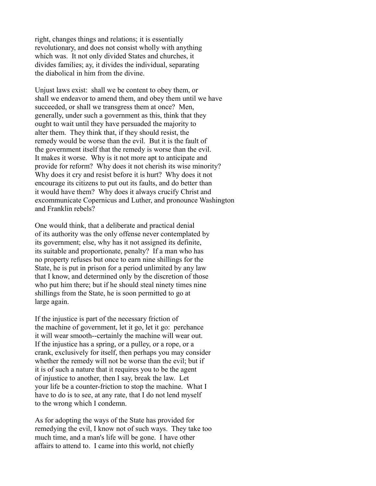right, changes things and relations; it is essentially revolutionary, and does not consist wholly with anything which was. It not only divided States and churches, it divides families; ay, it divides the individual, separating the diabolical in him from the divine.

Unjust laws exist: shall we be content to obey them, or shall we endeavor to amend them, and obey them until we have succeeded, or shall we transgress them at once? Men, generally, under such a government as this, think that they ought to wait until they have persuaded the majority to alter them. They think that, if they should resist, the remedy would be worse than the evil. But it is the fault of the government itself that the remedy is worse than the evil. It makes it worse. Why is it not more apt to anticipate and provide for reform? Why does it not cherish its wise minority? Why does it cry and resist before it is hurt? Why does it not encourage its citizens to put out its faults, and do better than it would have them? Why does it always crucify Christ and excommunicate Copernicus and Luther, and pronounce Washington and Franklin rebels?

One would think, that a deliberate and practical denial of its authority was the only offense never contemplated by its government; else, why has it not assigned its definite, its suitable and proportionate, penalty? If a man who has no property refuses but once to earn nine shillings for the State, he is put in prison for a period unlimited by any law that I know, and determined only by the discretion of those who put him there; but if he should steal ninety times nine shillings from the State, he is soon permitted to go at large again.

If the injustice is part of the necessary friction of the machine of government, let it go, let it go: perchance it will wear smooth--certainly the machine will wear out. If the injustice has a spring, or a pulley, or a rope, or a crank, exclusively for itself, then perhaps you may consider whether the remedy will not be worse than the evil; but if it is of such a nature that it requires you to be the agent of injustice to another, then I say, break the law. Let your life be a counter-friction to stop the machine. What I have to do is to see, at any rate, that I do not lend myself to the wrong which I condemn.

As for adopting the ways of the State has provided for remedying the evil, I know not of such ways. They take too much time, and a man's life will be gone. I have other affairs to attend to. I came into this world, not chiefly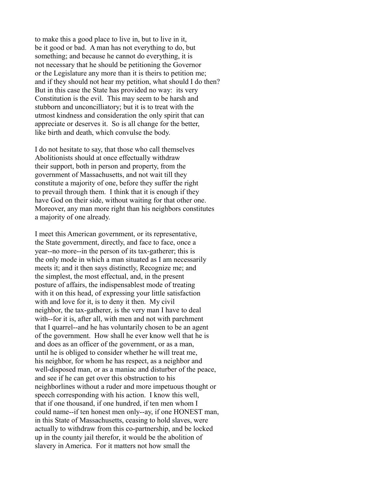to make this a good place to live in, but to live in it, be it good or bad. A man has not everything to do, but something; and because he cannot do everything, it is not necessary that he should be petitioning the Governor or the Legislature any more than it is theirs to petition me; and if they should not hear my petition, what should I do then? But in this case the State has provided no way: its very Constitution is the evil. This may seem to be harsh and stubborn and unconcilliatory; but it is to treat with the utmost kindness and consideration the only spirit that can appreciate or deserves it. So is all change for the better, like birth and death, which convulse the body.

I do not hesitate to say, that those who call themselves Abolitionists should at once effectually withdraw their support, both in person and property, from the government of Massachusetts, and not wait till they constitute a majority of one, before they suffer the right to prevail through them. I think that it is enough if they have God on their side, without waiting for that other one. Moreover, any man more right than his neighbors constitutes a majority of one already.

I meet this American government, or its representative, the State government, directly, and face to face, once a year--no more--in the person of its tax-gatherer; this is the only mode in which a man situated as I am necessarily meets it; and it then says distinctly, Recognize me; and the simplest, the most effectual, and, in the present posture of affairs, the indispensablest mode of treating with it on this head, of expressing your little satisfaction with and love for it, is to deny it then. My civil neighbor, the tax-gatherer, is the very man I have to deal with--for it is, after all, with men and not with parchment that I quarrel--and he has voluntarily chosen to be an agent of the government. How shall he ever know well that he is and does as an officer of the government, or as a man, until he is obliged to consider whether he will treat me, his neighbor, for whom he has respect, as a neighbor and well-disposed man, or as a maniac and disturber of the peace, and see if he can get over this obstruction to his neighborlines without a ruder and more impetuous thought or speech corresponding with his action. I know this well, that if one thousand, if one hundred, if ten men whom I could name--if ten honest men only--ay, if one HONEST man, in this State of Massachusetts, ceasing to hold slaves, were actually to withdraw from this co-partnership, and be locked up in the county jail therefor, it would be the abolition of slavery in America. For it matters not how small the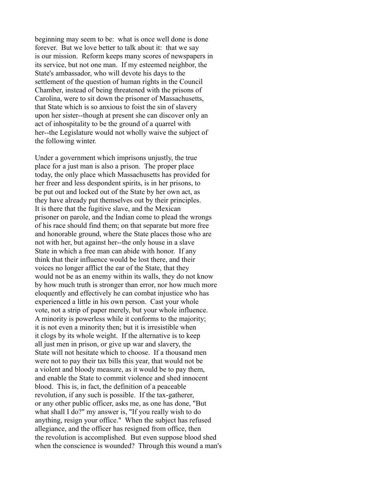beginning may seem to be: what is once well done is done forever. But we love better to talk about it: that we say is our mission. Reform keeps many scores of newspapers in its service, but not one man. If my esteemed neighbor, the State's ambassador, who will devote his days to the settlement of the question of human rights in the Council Chamber, instead of being threatened with the prisons of Carolina, were to sit down the prisoner of Massachusetts, that State which is so anxious to foist the sin of slavery upon her sister--though at present she can discover only an act of inhospitality to be the ground of a quarrel with her--the Legislature would not wholly waive the subject of the following winter.

Under a government which imprisons unjustly, the true place for a just man is also a prison. The proper place today, the only place which Massachusetts has provided for her freer and less despondent spirits, is in her prisons, to be put out and locked out of the State by her own act, as they have already put themselves out by their principles. It is there that the fugitive slave, and the Mexican prisoner on parole, and the Indian come to plead the wrongs of his race should find them; on that separate but more free and honorable ground, where the State places those who are not with her, but against her--the only house in a slave State in which a free man can abide with honor. If any think that their influence would be lost there, and their voices no longer afflict the ear of the State, that they would not be as an enemy within its walls, they do not know by how much truth is stronger than error, nor how much more eloquently and effectively he can combat injustice who has experienced a little in his own person. Cast your whole vote, not a strip of paper merely, but your whole influence. A minority is powerless while it conforms to the majority; it is not even a minority then; but it is irresistible when it clogs by its whole weight. If the alternative is to keep all just men in prison, or give up war and slavery, the State will not hesitate which to choose. If a thousand men were not to pay their tax bills this year, that would not be a violent and bloody measure, as it would be to pay them, and enable the State to commit violence and shed innocent blood. This is, in fact, the definition of a peaceable revolution, if any such is possible. If the tax-gatherer, or any other public officer, asks me, as one has done, "But what shall I do?" my answer is, "If you really wish to do anything, resign your office." When the subject has refused allegiance, and the officer has resigned from office, then the revolution is accomplished. But even suppose blood shed when the conscience is wounded? Through this wound a man's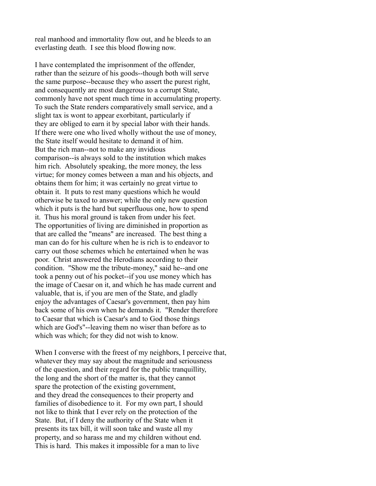real manhood and immortality flow out, and he bleeds to an everlasting death. I see this blood flowing now.

I have contemplated the imprisonment of the offender, rather than the seizure of his goods--though both will serve the same purpose--because they who assert the purest right, and consequently are most dangerous to a corrupt State, commonly have not spent much time in accumulating property. To such the State renders comparatively small service, and a slight tax is wont to appear exorbitant, particularly if they are obliged to earn it by special labor with their hands. If there were one who lived wholly without the use of money, the State itself would hesitate to demand it of him. But the rich man--not to make any invidious comparison--is always sold to the institution which makes him rich. Absolutely speaking, the more money, the less virtue; for money comes between a man and his objects, and obtains them for him; it was certainly no great virtue to obtain it. It puts to rest many questions which he would otherwise be taxed to answer; while the only new question which it puts is the hard but superfluous one, how to spend it. Thus his moral ground is taken from under his feet. The opportunities of living are diminished in proportion as that are called the "means" are increased. The best thing a man can do for his culture when he is rich is to endeavor to carry out those schemes which he entertained when he was poor. Christ answered the Herodians according to their condition. "Show me the tribute-money," said he--and one took a penny out of his pocket--if you use money which has the image of Caesar on it, and which he has made current and valuable, that is, if you are men of the State, and gladly enjoy the advantages of Caesar's government, then pay him back some of his own when he demands it. "Render therefore to Caesar that which is Caesar's and to God those things which are God's"--leaving them no wiser than before as to which was which; for they did not wish to know.

When I converse with the freest of my neighbors, I perceive that, whatever they may say about the magnitude and seriousness of the question, and their regard for the public tranquillity, the long and the short of the matter is, that they cannot spare the protection of the existing government, and they dread the consequences to their property and families of disobedience to it. For my own part, I should not like to think that I ever rely on the protection of the State. But, if I deny the authority of the State when it presents its tax bill, it will soon take and waste all my property, and so harass me and my children without end. This is hard. This makes it impossible for a man to live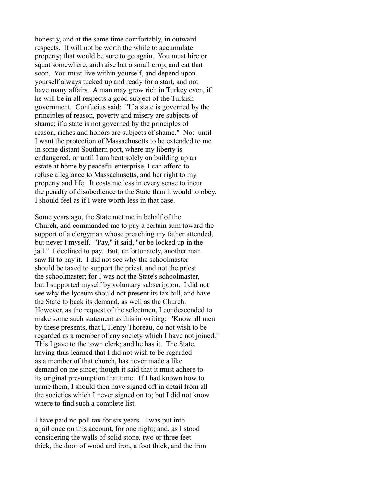honestly, and at the same time comfortably, in outward respects. It will not be worth the while to accumulate property; that would be sure to go again. You must hire or squat somewhere, and raise but a small crop, and eat that soon. You must live within yourself, and depend upon yourself always tucked up and ready for a start, and not have many affairs. A man may grow rich in Turkey even, if he will be in all respects a good subject of the Turkish government. Confucius said: "If a state is governed by the principles of reason, poverty and misery are subjects of shame; if a state is not governed by the principles of reason, riches and honors are subjects of shame." No: until I want the protection of Massachusetts to be extended to me in some distant Southern port, where my liberty is endangered, or until I am bent solely on building up an estate at home by peaceful enterprise, I can afford to refuse allegiance to Massachusetts, and her right to my property and life. It costs me less in every sense to incur the penalty of disobedience to the State than it would to obey. I should feel as if I were worth less in that case.

Some years ago, the State met me in behalf of the Church, and commanded me to pay a certain sum toward the support of a clergyman whose preaching my father attended, but never I myself. "Pay," it said, "or be locked up in the jail." I declined to pay. But, unfortunately, another man saw fit to pay it. I did not see why the schoolmaster should be taxed to support the priest, and not the priest the schoolmaster; for I was not the State's schoolmaster, but I supported myself by voluntary subscription. I did not see why the lyceum should not present its tax bill, and have the State to back its demand, as well as the Church. However, as the request of the selectmen, I condescended to make some such statement as this in writing: "Know all men by these presents, that I, Henry Thoreau, do not wish to be regarded as a member of any society which I have not joined." This I gave to the town clerk; and he has it. The State, having thus learned that I did not wish to be regarded as a member of that church, has never made a like demand on me since; though it said that it must adhere to its original presumption that time. If I had known how to name them, I should then have signed off in detail from all the societies which I never signed on to; but I did not know where to find such a complete list.

I have paid no poll tax for six years. I was put into a jail once on this account, for one night; and, as I stood considering the walls of solid stone, two or three feet thick, the door of wood and iron, a foot thick, and the iron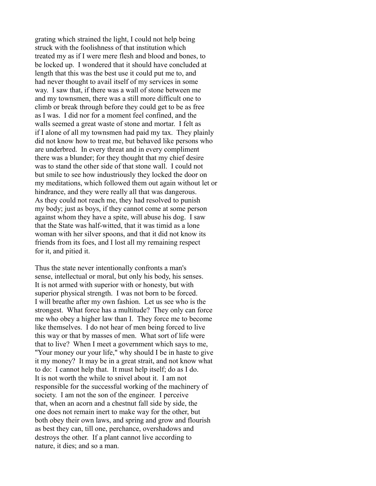grating which strained the light, I could not help being struck with the foolishness of that institution which treated my as if I were mere flesh and blood and bones, to be locked up. I wondered that it should have concluded at length that this was the best use it could put me to, and had never thought to avail itself of my services in some way. I saw that, if there was a wall of stone between me and my townsmen, there was a still more difficult one to climb or break through before they could get to be as free as I was. I did nor for a moment feel confined, and the walls seemed a great waste of stone and mortar. I felt as if I alone of all my townsmen had paid my tax. They plainly did not know how to treat me, but behaved like persons who are underbred. In every threat and in every compliment there was a blunder; for they thought that my chief desire was to stand the other side of that stone wall. I could not but smile to see how industriously they locked the door on my meditations, which followed them out again without let or hindrance, and they were really all that was dangerous. As they could not reach me, they had resolved to punish my body; just as boys, if they cannot come at some person against whom they have a spite, will abuse his dog. I saw that the State was half-witted, that it was timid as a lone woman with her silver spoons, and that it did not know its friends from its foes, and I lost all my remaining respect for it, and pitied it.

Thus the state never intentionally confronts a man's sense, intellectual or moral, but only his body, his senses. It is not armed with superior with or honesty, but with superior physical strength. I was not born to be forced. I will breathe after my own fashion. Let us see who is the strongest. What force has a multitude? They only can force me who obey a higher law than I. They force me to become like themselves. I do not hear of men being forced to live this way or that by masses of men. What sort of life were that to live? When I meet a government which says to me, "Your money our your life," why should I be in haste to give it my money? It may be in a great strait, and not know what to do: I cannot help that. It must help itself; do as I do. It is not worth the while to snivel about it. I am not responsible for the successful working of the machinery of society. I am not the son of the engineer. I perceive that, when an acorn and a chestnut fall side by side, the one does not remain inert to make way for the other, but both obey their own laws, and spring and grow and flourish as best they can, till one, perchance, overshadows and destroys the other. If a plant cannot live according to nature, it dies; and so a man.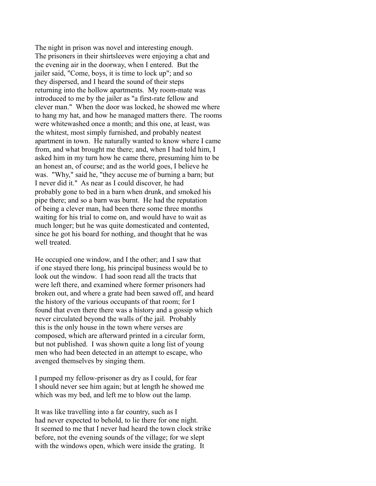The night in prison was novel and interesting enough. The prisoners in their shirtsleeves were enjoying a chat and the evening air in the doorway, when I entered. But the jailer said, "Come, boys, it is time to lock up"; and so they dispersed, and I heard the sound of their steps returning into the hollow apartments. My room-mate was introduced to me by the jailer as "a first-rate fellow and clever man." When the door was locked, he showed me where to hang my hat, and how he managed matters there. The rooms were whitewashed once a month; and this one, at least, was the whitest, most simply furnished, and probably neatest apartment in town. He naturally wanted to know where I came from, and what brought me there; and, when I had told him, I asked him in my turn how he came there, presuming him to be an honest an, of course; and as the world goes, I believe he was. "Why," said he, "they accuse me of burning a barn; but I never did it." As near as I could discover, he had probably gone to bed in a barn when drunk, and smoked his pipe there; and so a barn was burnt. He had the reputation of being a clever man, had been there some three months waiting for his trial to come on, and would have to wait as much longer; but he was quite domesticated and contented, since he got his board for nothing, and thought that he was well treated.

He occupied one window, and I the other; and I saw that if one stayed there long, his principal business would be to look out the window. I had soon read all the tracts that were left there, and examined where former prisoners had broken out, and where a grate had been sawed off, and heard the history of the various occupants of that room; for I found that even there there was a history and a gossip which never circulated beyond the walls of the jail. Probably this is the only house in the town where verses are composed, which are afterward printed in a circular form, but not published. I was shown quite a long list of young men who had been detected in an attempt to escape, who avenged themselves by singing them.

I pumped my fellow-prisoner as dry as I could, for fear I should never see him again; but at length he showed me which was my bed, and left me to blow out the lamp.

It was like travelling into a far country, such as I had never expected to behold, to lie there for one night. It seemed to me that I never had heard the town clock strike before, not the evening sounds of the village; for we slept with the windows open, which were inside the grating. It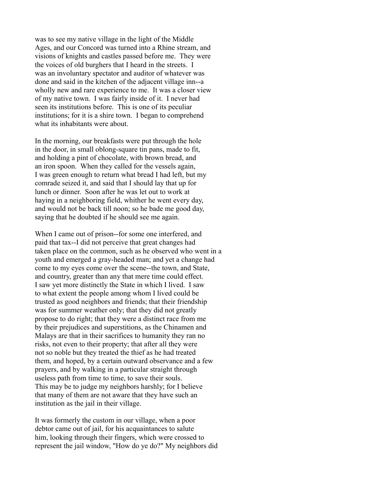was to see my native village in the light of the Middle Ages, and our Concord was turned into a Rhine stream, and visions of knights and castles passed before me. They were the voices of old burghers that I heard in the streets. I was an involuntary spectator and auditor of whatever was done and said in the kitchen of the adjacent village inn--a wholly new and rare experience to me. It was a closer view of my native town. I was fairly inside of it. I never had seen its institutions before. This is one of its peculiar institutions; for it is a shire town. I began to comprehend what its inhabitants were about.

In the morning, our breakfasts were put through the hole in the door, in small oblong-square tin pans, made to fit, and holding a pint of chocolate, with brown bread, and an iron spoon. When they called for the vessels again, I was green enough to return what bread I had left, but my comrade seized it, and said that I should lay that up for lunch or dinner. Soon after he was let out to work at haying in a neighboring field, whither he went every day, and would not be back till noon; so he bade me good day, saying that he doubted if he should see me again.

When I came out of prison--for some one interfered, and paid that tax--I did not perceive that great changes had taken place on the common, such as he observed who went in a youth and emerged a gray-headed man; and yet a change had come to my eyes come over the scene--the town, and State, and country, greater than any that mere time could effect. I saw yet more distinctly the State in which I lived. I saw to what extent the people among whom I lived could be trusted as good neighbors and friends; that their friendship was for summer weather only; that they did not greatly propose to do right; that they were a distinct race from me by their prejudices and superstitions, as the Chinamen and Malays are that in their sacrifices to humanity they ran no risks, not even to their property; that after all they were not so noble but they treated the thief as he had treated them, and hoped, by a certain outward observance and a few prayers, and by walking in a particular straight through useless path from time to time, to save their souls. This may be to judge my neighbors harshly; for I believe that many of them are not aware that they have such an institution as the jail in their village.

It was formerly the custom in our village, when a poor debtor came out of jail, for his acquaintances to salute him, looking through their fingers, which were crossed to represent the jail window, "How do ye do?" My neighbors did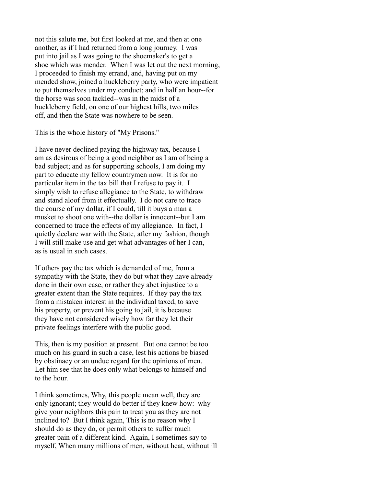not this salute me, but first looked at me, and then at one another, as if I had returned from a long journey. I was put into jail as I was going to the shoemaker's to get a shoe which was mender. When I was let out the next morning, I proceeded to finish my errand, and, having put on my mended show, joined a huckleberry party, who were impatient to put themselves under my conduct; and in half an hour--for the horse was soon tackled--was in the midst of a huckleberry field, on one of our highest hills, two miles off, and then the State was nowhere to be seen.

This is the whole history of "My Prisons."

I have never declined paying the highway tax, because I am as desirous of being a good neighbor as I am of being a bad subject; and as for supporting schools, I am doing my part to educate my fellow countrymen now. It is for no particular item in the tax bill that I refuse to pay it. I simply wish to refuse allegiance to the State, to withdraw and stand aloof from it effectually. I do not care to trace the course of my dollar, if I could, till it buys a man a musket to shoot one with--the dollar is innocent--but I am concerned to trace the effects of my allegiance. In fact, I quietly declare war with the State, after my fashion, though I will still make use and get what advantages of her I can, as is usual in such cases.

If others pay the tax which is demanded of me, from a sympathy with the State, they do but what they have already done in their own case, or rather they abet injustice to a greater extent than the State requires. If they pay the tax from a mistaken interest in the individual taxed, to save his property, or prevent his going to jail, it is because they have not considered wisely how far they let their private feelings interfere with the public good.

This, then is my position at present. But one cannot be too much on his guard in such a case, lest his actions be biased by obstinacy or an undue regard for the opinions of men. Let him see that he does only what belongs to himself and to the hour.

I think sometimes, Why, this people mean well, they are only ignorant; they would do better if they knew how: why give your neighbors this pain to treat you as they are not inclined to? But I think again, This is no reason why I should do as they do, or permit others to suffer much greater pain of a different kind. Again, I sometimes say to myself, When many millions of men, without heat, without ill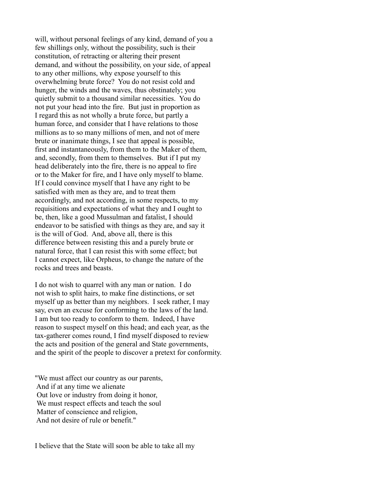will, without personal feelings of any kind, demand of you a few shillings only, without the possibility, such is their constitution, of retracting or altering their present demand, and without the possibility, on your side, of appeal to any other millions, why expose yourself to this overwhelming brute force? You do not resist cold and hunger, the winds and the waves, thus obstinately; you quietly submit to a thousand similar necessities. You do not put your head into the fire. But just in proportion as I regard this as not wholly a brute force, but partly a human force, and consider that I have relations to those millions as to so many millions of men, and not of mere brute or inanimate things, I see that appeal is possible, first and instantaneously, from them to the Maker of them, and, secondly, from them to themselves. But if I put my head deliberately into the fire, there is no appeal to fire or to the Maker for fire, and I have only myself to blame. If I could convince myself that I have any right to be satisfied with men as they are, and to treat them accordingly, and not according, in some respects, to my requisitions and expectations of what they and I ought to be, then, like a good Mussulman and fatalist, I should endeavor to be satisfied with things as they are, and say it is the will of God. And, above all, there is this difference between resisting this and a purely brute or natural force, that I can resist this with some effect; but I cannot expect, like Orpheus, to change the nature of the rocks and trees and beasts.

I do not wish to quarrel with any man or nation. I do not wish to split hairs, to make fine distinctions, or set myself up as better than my neighbors. I seek rather, I may say, even an excuse for conforming to the laws of the land. I am but too ready to conform to them. Indeed, I have reason to suspect myself on this head; and each year, as the tax-gatherer comes round, I find myself disposed to review the acts and position of the general and State governments, and the spirit of the people to discover a pretext for conformity.

"We must affect our country as our parents, And if at any time we alienate Out love or industry from doing it honor, We must respect effects and teach the soul Matter of conscience and religion, And not desire of rule or benefit."

I believe that the State will soon be able to take all my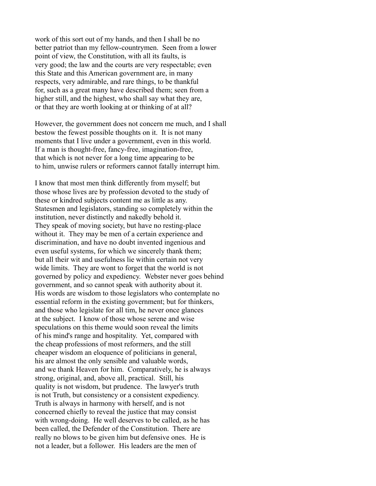work of this sort out of my hands, and then I shall be no better patriot than my fellow-countrymen. Seen from a lower point of view, the Constitution, with all its faults, is very good; the law and the courts are very respectable; even this State and this American government are, in many respects, very admirable, and rare things, to be thankful for, such as a great many have described them; seen from a higher still, and the highest, who shall say what they are, or that they are worth looking at or thinking of at all?

However, the government does not concern me much, and I shall bestow the fewest possible thoughts on it. It is not many moments that I live under a government, even in this world. If a man is thought-free, fancy-free, imagination-free, that which is not never for a long time appearing to be to him, unwise rulers or reformers cannot fatally interrupt him.

I know that most men think differently from myself; but those whose lives are by profession devoted to the study of these or kindred subjects content me as little as any. Statesmen and legislators, standing so completely within the institution, never distinctly and nakedly behold it. They speak of moving society, but have no resting-place without it. They may be men of a certain experience and discrimination, and have no doubt invented ingenious and even useful systems, for which we sincerely thank them; but all their wit and usefulness lie within certain not very wide limits. They are wont to forget that the world is not governed by policy and expediency. Webster never goes behind government, and so cannot speak with authority about it. His words are wisdom to those legislators who contemplate no essential reform in the existing government; but for thinkers, and those who legislate for all tim, he never once glances at the subject. I know of those whose serene and wise speculations on this theme would soon reveal the limits of his mind's range and hospitality. Yet, compared with the cheap professions of most reformers, and the still cheaper wisdom an eloquence of politicians in general, his are almost the only sensible and valuable words, and we thank Heaven for him. Comparatively, he is always strong, original, and, above all, practical. Still, his quality is not wisdom, but prudence. The lawyer's truth is not Truth, but consistency or a consistent expediency. Truth is always in harmony with herself, and is not concerned chiefly to reveal the justice that may consist with wrong-doing. He well deserves to be called, as he has been called, the Defender of the Constitution. There are really no blows to be given him but defensive ones. He is not a leader, but a follower. His leaders are the men of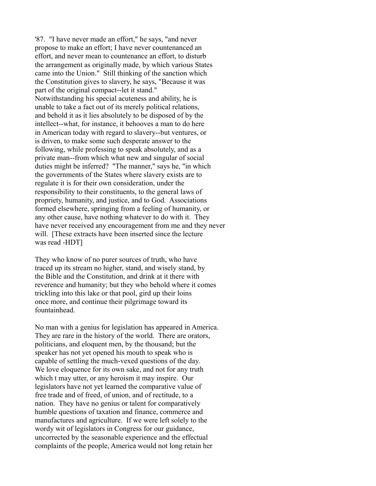'87. "I have never made an effort," he says, "and never propose to make an effort; I have never countenanced an effort, and never mean to countenance an effort, to disturb the arrangement as originally made, by which various States came into the Union." Still thinking of the sanction which the Constitution gives to slavery, he says, "Because it was part of the original compact--let it stand." Notwithstanding his special acuteness and ability, he is unable to take a fact out of its merely political relations, and behold it as it lies absolutely to be disposed of by the intellect--what, for instance, it behooves a man to do here in American today with regard to slavery--but ventures, or is driven, to make some such desperate answer to the following, while professing to speak absolutely, and as a private man--from which what new and singular of social duties might be inferred? "The manner," says he, "in which the governments of the States where slavery exists are to regulate it is for their own consideration, under the responsibility to their constituents, to the general laws of propriety, humanity, and justice, and to God. Associations formed elsewhere, springing from a feeling of humanity, or any other cause, have nothing whatever to do with it. They have never received any encouragement from me and they never will. [These extracts have been inserted since the lecture was read -HDT]

They who know of no purer sources of truth, who have traced up its stream no higher, stand, and wisely stand, by the Bible and the Constitution, and drink at it there with reverence and humanity; but they who behold where it comes trickling into this lake or that pool, gird up their loins once more, and continue their pilgrimage toward its fountainhead.

No man with a genius for legislation has appeared in America. They are rare in the history of the world. There are orators, politicians, and eloquent men, by the thousand; but the speaker has not yet opened his mouth to speak who is capable of settling the much-vexed questions of the day. We love eloquence for its own sake, and not for any truth which t may utter, or any heroism it may inspire. Our legislators have not yet learned the comparative value of free trade and of freed, of union, and of rectitude, to a nation. They have no genius or talent for comparatively humble questions of taxation and finance, commerce and manufactures and agriculture. If we were left solely to the wordy wit of legislators in Congress for our guidance, uncorrected by the seasonable experience and the effectual complaints of the people, America would not long retain her